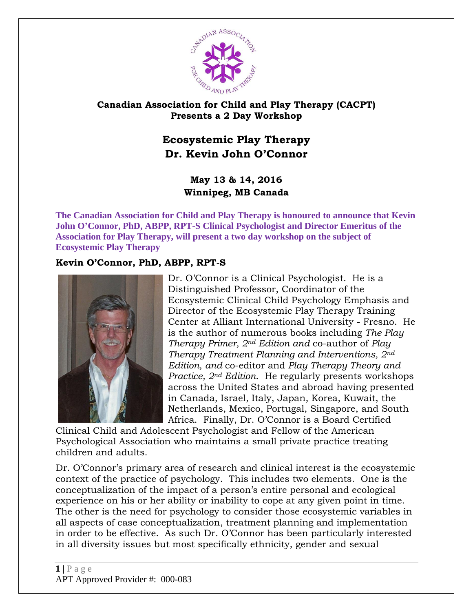

## **Canadian Association for Child and Play Therapy (CACPT) Presents a 2 Day Workshop**

## **Ecosystemic Play Therapy Dr. Kevin John O'Connor**

## **May 13 & 14, 2016 Winnipeg, MB Canada**

**The Canadian Association for Child and Play Therapy is honoured to announce that Kevin John O'Connor, PhD, ABPP, RPT-S Clinical Psychologist and Director Emeritus of the Association for Play Therapy, will present a two day workshop on the subject of Ecosystemic Play Therapy**

## **Kevin O'Connor, PhD, ABPP, RPT-S**



Dr. O'Connor is a Clinical Psychologist. He is a Distinguished Professor, Coordinator of the Ecosystemic Clinical Child Psychology Emphasis and Director of the Ecosystemic Play Therapy Training Center at Alliant International University - Fresno. He is the author of numerous books including *The Play Therapy Primer, 2nd Edition and* co-author of *Play Therapy Treatment Planning and Interventions, 2nd Edition, and* co-editor and *Play Therapy Theory and Practice, 2nd Edition*. He regularly presents workshops across the United States and abroad having presented in Canada, Israel, Italy, Japan, Korea, Kuwait, the Netherlands, Mexico, Portugal, Singapore, and South Africa. Finally, Dr. O'Connor is a Board Certified

Clinical Child and Adolescent Psychologist and Fellow of the American Psychological Association who maintains a small private practice treating children and adults.

Dr. O'Connor's primary area of research and clinical interest is the ecosystemic context of the practice of psychology. This includes two elements. One is the conceptualization of the impact of a person's entire personal and ecological experience on his or her ability or inability to cope at any given point in time. The other is the need for psychology to consider those ecosystemic variables in all aspects of case conceptualization, treatment planning and implementation in order to be effective. As such Dr. O'Connor has been particularly interested in all diversity issues but most specifically ethnicity, gender and sexual